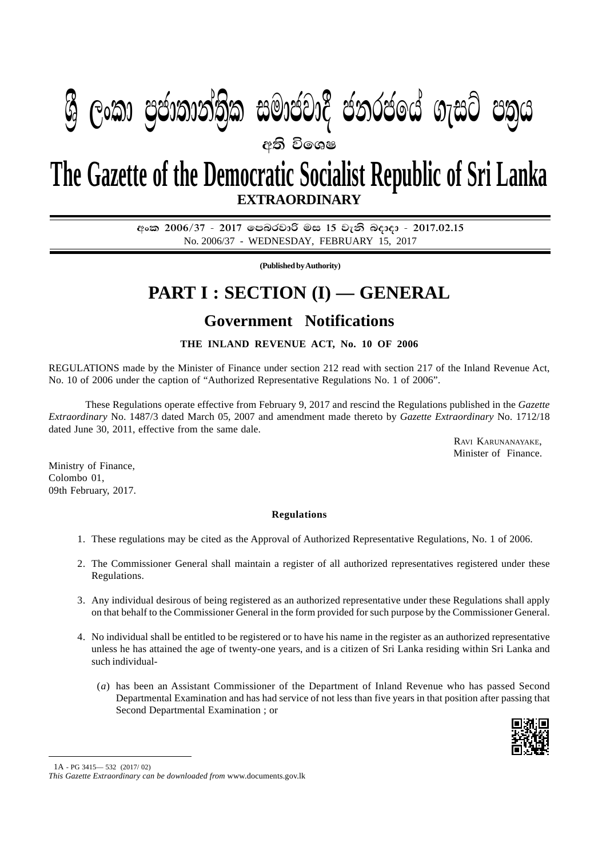## $\mathbf{P} = \mathbf{P} \mathbf{P} = \mathbf{P} \mathbf{P} = \mathbf{P} \mathbf{P} = \mathbf{P} \mathbf{P} = \mathbf{P} \mathbf{P} = \mathbf{P} \mathbf{P} = \mathbf{P} \mathbf{P} = \mathbf{P} \mathbf{P} = \mathbf{P} \mathbf{P} = \mathbf{P} \mathbf{P} = \mathbf{P} \mathbf{P} = \mathbf{P} \mathbf{P} = \mathbf{P} \mathbf{P} = \mathbf{P} \mathbf{P} = \mathbf{P} \mathbf{P} = \mathbf{P} \mathbf{P} = \mathbf{P$ අති වි**ං**ශෂ  $\mathfrak{B}$  ලංකා ප්යාතාතාත්ක සුඛයෝද යනුරියය ගැසුර යන්ෆ

# **EXTRAORDINARY The Gazette of the Democratic Socialist Republic of Sri Lanka**

අංක 2006/37 - 2017 ලපබරවාරි මස 15 වැනි බදාදා - 2017.02.15 No. 2006/37 - WEDNESDAY, FEBRUARY 15, 2017

**(Published by Authority)**

## **PART I : SECTION (I) — GENERAL**

### **Government Notifications**

### **THE INLAND REVENUE ACT, No. 10 OF 2006**

REGULATIONS made by the Minister of Finance under section 212 read with section 217 of the Inland Revenue Act, No. 10 of 2006 under the caption of "Authorized Representative Regulations No. 1 of 2006".

These Regulations operate effective from February 9, 2017 and rescind the Regulations published in the *Gazette Extraordinary* No. 1487/3 dated March 05, 2007 and amendment made thereto by *Gazette Extraordinary* No. 1712/18 dated June 30, 2011, effective from the same dale.

> RAVI KARUNANAYAKE, Minister of Finance.

Ministry of Finance, Colombo 01, 09th February, 2017.

#### **Regulations**

- 1. These regulations may be cited as the Approval of Authorized Representative Regulations, No. 1 of 2006.
- 2. The Commissioner General shall maintain a register of all authorized representatives registered under these Regulations.
- 3. Any individual desirous of being registered as an authorized representative under these Regulations shall apply on that behalf to the Commissioner General in the form provided for such purpose by the Commissioner General.
- 4. No individual shall be entitled to be registered or to have his name in the register as an authorized representative unless he has attained the age of twenty-one years, and is a citizen of Sri Lanka residing within Sri Lanka and such individual-
	- (*a*) has been an Assistant Commissioner of the Department of Inland Revenue who has passed Second Departmental Examination and has had service of not less than five years in that position after passing that Second Departmental Examination ; or



1A - PG 3415— 532 (2017/ 02)

*This Gazette Extraordinary can be downloaded from* www.documents.gov.lk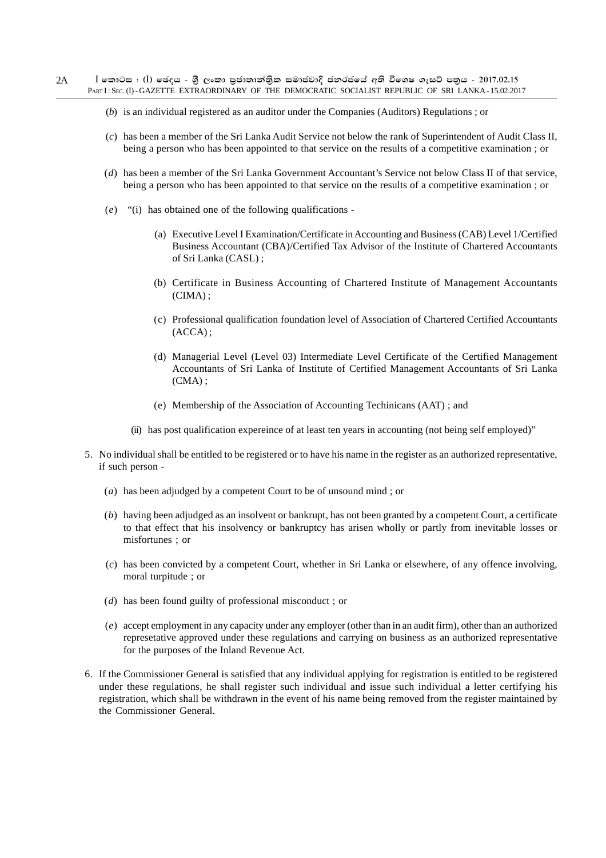- (*b*) is an individual registered as an auditor under the Companies (Auditors) Regulations ; or
- (*c*) has been a member of the Sri Lanka Audit Service not below the rank of Superintendent of Audit Class II, being a person who has been appointed to that service on the results of a competitive examination ; or
- (*d*) has been a member of the Sri Lanka Government Accountant's Service not below Class II of that service, being a person who has been appointed to that service on the results of a competitive examination ; or
- (*e*) "(i) has obtained one of the following qualifications
	- (a) Executive Level I Examination/Certificate in Accounting and Business (CAB) Level 1/Certified Business Accountant (CBA)/Certified Tax Advisor of the Institute of Chartered Accountants of Sri Lanka (CASL) ;
	- (b) Certificate in Business Accounting of Chartered Institute of Management Accountants (CIMA) ;
	- (c) Professional qualification foundation level of Association of Chartered Certified Accountants (ACCA) ;
	- (d) Managerial Level (Level 03) Intermediate Level Certificate of the Certified Management Accountants of Sri Lanka of Institute of Certified Management Accountants of Sri Lanka  $(CMA)$ :
	- (e) Membership of the Association of Accounting Techinicans (AAT) ; and
	- (ii) has post qualification expereince of at least ten years in accounting (not being self employed)"
- 5. No individual shall be entitled to be registered or to have his name in the register as an authorized representative, if such person -
	- (*a*) has been adjudged by a competent Court to be of unsound mind ; or
	- (*b*) having been adjudged as an insolvent or bankrupt, has not been granted by a competent Court, a certificate to that effect that his insolvency or bankruptcy has arisen wholly or partly from inevitable losses or misfortunes ; or
	- (*c*) has been convicted by a competent Court, whether in Sri Lanka or elsewhere, of any offence involving, moral turpitude ; or
	- (*d*) has been found guilty of professional misconduct ; or
	- (*e*) accept employment in any capacity under any employer (other than in an audit firm), other than an authorized represetative approved under these regulations and carrying on business as an authorized representative for the purposes of the Inland Revenue Act.
- 6. If the Commissioner General is satisfied that any individual applying for registration is entitled to be registered under these regulations, he shall register such individual and issue such individual a letter certifying his registration, which shall be withdrawn in the event of his name being removed from the register maintained by the Commissioner General.